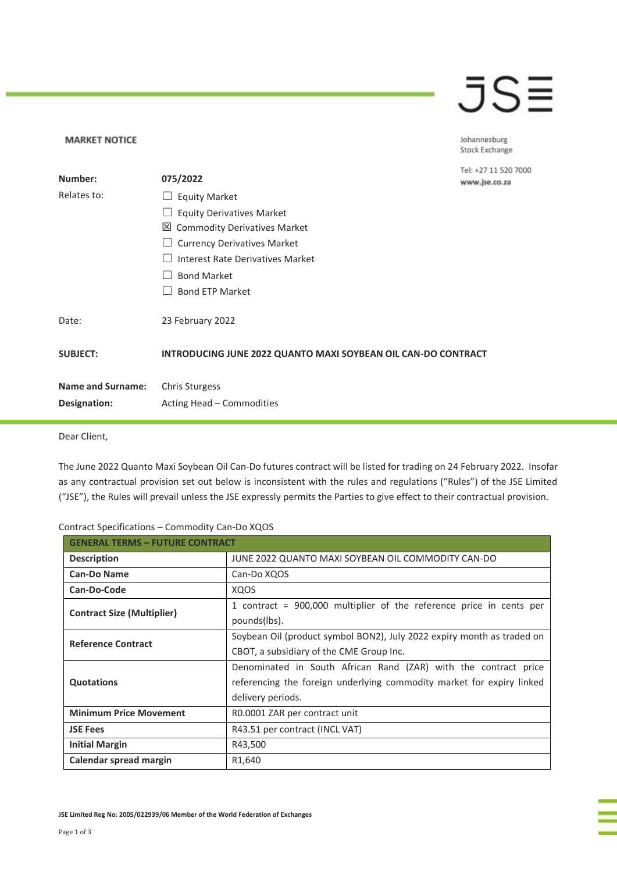## JSE

Johannesburg Stock Exchange

7000

| Number:                  | 075/2022                                                      | Tel: +27 11 520 7<br>www.jse.co.za |
|--------------------------|---------------------------------------------------------------|------------------------------------|
| Relates to:              | <b>Equity Market</b>                                          |                                    |
|                          | <b>Equity Derivatives Market</b>                              |                                    |
|                          | 凶 Commodity Derivatives Market                                |                                    |
|                          | <b>Currency Derivatives Market</b>                            |                                    |
|                          | Interest Rate Derivatives Market                              |                                    |
|                          | <b>Bond Market</b>                                            |                                    |
|                          | <b>Bond ETP Market</b>                                        |                                    |
| Date:                    | 23 February 2022                                              |                                    |
| <b>SUBJECT:</b>          | INTRODUCING JUNE 2022 QUANTO MAXI SOYBEAN OIL CAN-DO CONTRACT |                                    |
| <b>Name and Surname:</b> | <b>Chris Sturgess</b>                                         |                                    |
| Designation:             | Acting Head - Commodities                                     |                                    |
|                          |                                                               |                                    |

Dear Client,

**MARKET NOTICE** 

The June 2022 Quanto Maxi Soybean Oil Can-Do futures contract will be listed for trading on 24 February 2022. Insofar as any contractual provision set out below is inconsistent with the rules and regulations ("Rules") of the JSE Limited ("JSE"), the Rules will prevail unless the JSE expressly permits the Parties to give effect to their contractual provision.

| <b>GENERAL TERMS - FUTURE CONTRACT</b> |                                                                        |  |  |
|----------------------------------------|------------------------------------------------------------------------|--|--|
| <b>Description</b>                     | JUNE 2022 QUANTO MAXI SOYBEAN OIL COMMODITY CAN-DO                     |  |  |
| <b>Can-Do Name</b>                     | Can-Do XQOS                                                            |  |  |
| Can-Do-Code                            | <b>XQOS</b>                                                            |  |  |
| <b>Contract Size (Multiplier)</b>      | 1 contract = 900,000 multiplier of the reference price in cents per    |  |  |
|                                        | pounds(lbs).                                                           |  |  |
| <b>Reference Contract</b>              | Soybean Oil (product symbol BON2), July 2022 expiry month as traded on |  |  |
|                                        | CBOT, a subsidiary of the CME Group Inc.                               |  |  |
|                                        | Denominated in South African Rand (ZAR) with the contract price        |  |  |
| <b>Quotations</b>                      | referencing the foreign underlying commodity market for expiry linked  |  |  |
|                                        | delivery periods.                                                      |  |  |
| <b>Minimum Price Movement</b>          | R0.0001 ZAR per contract unit                                          |  |  |
| <b>JSE Fees</b>                        | R43.51 per contract (INCL VAT)                                         |  |  |
| <b>Initial Margin</b>                  | R43,500                                                                |  |  |
| Calendar spread margin                 | R <sub>1</sub> ,640                                                    |  |  |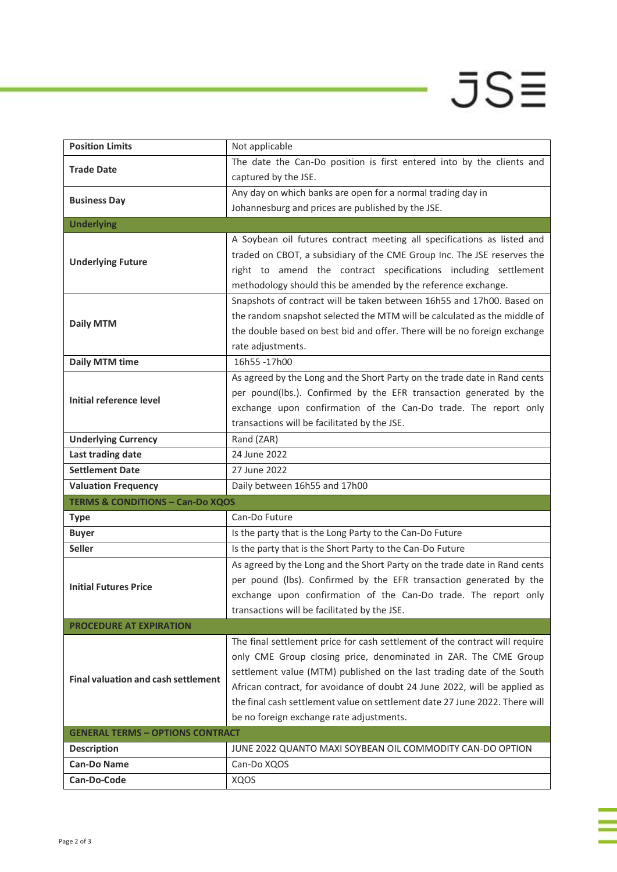## $JSE$

ī

| <b>Position Limits</b>                      | Not applicable                                                              |  |  |  |
|---------------------------------------------|-----------------------------------------------------------------------------|--|--|--|
| <b>Trade Date</b>                           | The date the Can-Do position is first entered into by the clients and       |  |  |  |
|                                             | captured by the JSE.                                                        |  |  |  |
|                                             | Any day on which banks are open for a normal trading day in                 |  |  |  |
| <b>Business Day</b>                         | Johannesburg and prices are published by the JSE.                           |  |  |  |
| <b>Underlying</b>                           |                                                                             |  |  |  |
|                                             | A Soybean oil futures contract meeting all specifications as listed and     |  |  |  |
| <b>Underlying Future</b>                    | traded on CBOT, a subsidiary of the CME Group Inc. The JSE reserves the     |  |  |  |
|                                             | right to amend the contract specifications including settlement             |  |  |  |
|                                             | methodology should this be amended by the reference exchange.               |  |  |  |
|                                             | Snapshots of contract will be taken between 16h55 and 17h00. Based on       |  |  |  |
| <b>Daily MTM</b>                            | the random snapshot selected the MTM will be calculated as the middle of    |  |  |  |
|                                             | the double based on best bid and offer. There will be no foreign exchange   |  |  |  |
|                                             | rate adjustments.                                                           |  |  |  |
| <b>Daily MTM time</b>                       | 16h55-17h00                                                                 |  |  |  |
|                                             | As agreed by the Long and the Short Party on the trade date in Rand cents   |  |  |  |
| Initial reference level                     | per pound(lbs.). Confirmed by the EFR transaction generated by the          |  |  |  |
|                                             | exchange upon confirmation of the Can-Do trade. The report only             |  |  |  |
|                                             | transactions will be facilitated by the JSE.                                |  |  |  |
| <b>Underlying Currency</b>                  | Rand (ZAR)                                                                  |  |  |  |
| Last trading date                           | 24 June 2022                                                                |  |  |  |
| <b>Settlement Date</b>                      | 27 June 2022                                                                |  |  |  |
| <b>Valuation Frequency</b>                  | Daily between 16h55 and 17h00                                               |  |  |  |
| <b>TERMS &amp; CONDITIONS - Can-Do XQOS</b> |                                                                             |  |  |  |
| <b>Type</b>                                 | Can-Do Future                                                               |  |  |  |
| <b>Buyer</b>                                | Is the party that is the Long Party to the Can-Do Future                    |  |  |  |
| <b>Seller</b>                               | Is the party that is the Short Party to the Can-Do Future                   |  |  |  |
|                                             | As agreed by the Long and the Short Party on the trade date in Rand cents   |  |  |  |
| <b>Initial Futures Price</b>                | per pound (lbs). Confirmed by the EFR transaction generated by the          |  |  |  |
|                                             | exchange upon confirmation of the Can-Do trade. The report only             |  |  |  |
|                                             | transactions will be facilitated by the JSE.                                |  |  |  |
| <b>PROCEDURE AT EXPIRATION</b>              |                                                                             |  |  |  |
|                                             | The final settlement price for cash settlement of the contract will require |  |  |  |
|                                             | only CME Group closing price, denominated in ZAR. The CME Group             |  |  |  |
| <b>Final valuation and cash settlement</b>  | settlement value (MTM) published on the last trading date of the South      |  |  |  |
|                                             | African contract, for avoidance of doubt 24 June 2022, will be applied as   |  |  |  |
|                                             | the final cash settlement value on settlement date 27 June 2022. There will |  |  |  |
|                                             | be no foreign exchange rate adjustments.                                    |  |  |  |
| <b>GENERAL TERMS - OPTIONS CONTRACT</b>     |                                                                             |  |  |  |
| <b>Description</b><br><b>Can-Do Name</b>    | JUNE 2022 QUANTO MAXI SOYBEAN OIL COMMODITY CAN-DO OPTION                   |  |  |  |
|                                             | Can-Do XQOS                                                                 |  |  |  |
| Can-Do-Code                                 | XQOS                                                                        |  |  |  |